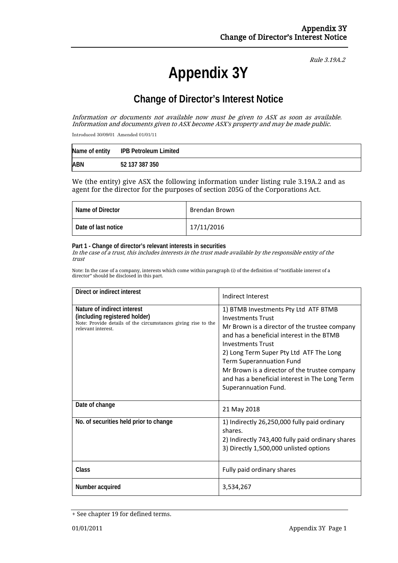# **Appendix 3Y**

Rule 3.19A.2

# **Change of Director's Interest Notice**

Information or documents not available now must be given to ASX as soon as available. Information and documents given to ASX become ASX's property and may be made public.

Introduced 30/09/01 Amended 01/01/11

| Name of entity | IPB Petroleum Limited |
|----------------|-----------------------|
| <b>ABN</b>     | 52 137 387 350        |

We (the entity) give ASX the following information under listing rule 3.19A.2 and as agent for the director for the purposes of section 205G of the Corporations Act.

| Name of Director    | Brendan Brown |
|---------------------|---------------|
| Date of last notice | 17/11/2016    |

#### **Part 1 - Change of director's relevant interests in securities**

In the case of a trust, this includes interests in the trust made available by the responsible entity of the trust

Note: In the case of a company, interests which come within paragraph (i) of the definition of "notifiable interest of a director" should be disclosed in this part.

| Direct or indirect interest                                                                                                                         | Indirect Interest                                                                                                                                                                                                                                                                                                                                                                                   |  |
|-----------------------------------------------------------------------------------------------------------------------------------------------------|-----------------------------------------------------------------------------------------------------------------------------------------------------------------------------------------------------------------------------------------------------------------------------------------------------------------------------------------------------------------------------------------------------|--|
| Nature of indirect interest<br>(including registered holder)<br>Note: Provide details of the circumstances giving rise to the<br>relevant interest. | 1) BTMB Investments Pty Ltd ATF BTMB<br><b>Investments Trust</b><br>Mr Brown is a director of the trustee company<br>and has a beneficial interest in the BTMB<br><b>Investments Trust</b><br>2) Long Term Super Pty Ltd ATF The Long<br><b>Term Superannuation Fund</b><br>Mr Brown is a director of the trustee company<br>and has a beneficial interest in The Long Term<br>Superannuation Fund. |  |
| Date of change                                                                                                                                      | 21 May 2018                                                                                                                                                                                                                                                                                                                                                                                         |  |
| No. of securities held prior to change                                                                                                              | 1) Indirectly 26,250,000 fully paid ordinary<br>shares.<br>2) Indirectly 743,400 fully paid ordinary shares<br>3) Directly 1,500,000 unlisted options                                                                                                                                                                                                                                               |  |
| Class                                                                                                                                               | Fully paid ordinary shares                                                                                                                                                                                                                                                                                                                                                                          |  |
| Number acquired                                                                                                                                     | 3,534,267                                                                                                                                                                                                                                                                                                                                                                                           |  |

<sup>+</sup> See chapter 19 for defined terms.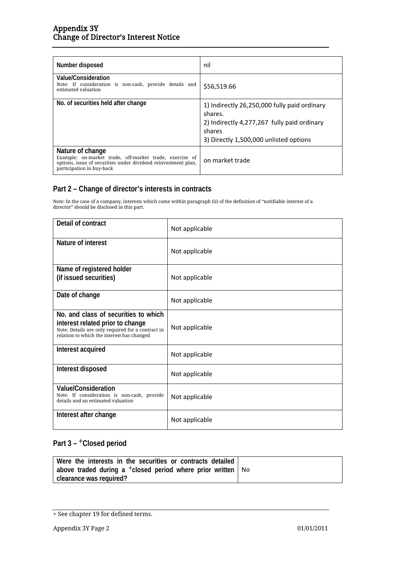| Number disposed                                                                                                                                                            | nil                                                                                                                                                        |
|----------------------------------------------------------------------------------------------------------------------------------------------------------------------------|------------------------------------------------------------------------------------------------------------------------------------------------------------|
| Value/Consideration<br>Note: If consideration is non-cash, provide details and<br>estimated valuation                                                                      | \$56,519.66                                                                                                                                                |
| No. of securities held after change                                                                                                                                        | 1) Indirectly 26,250,000 fully paid ordinary<br>shares.<br>2) Indirectly 4,277,267 fully paid ordinary<br>shares<br>3) Directly 1,500,000 unlisted options |
| Nature of change<br>Example: on-market trade, off-market trade, exercise of<br>options, issue of securities under dividend reinvestment plan,<br>participation in buy-back | on market trade                                                                                                                                            |

## **Part 2 – Change of director's interests in contracts**

Note: In the case of a company, interests which come within paragraph (ii) of the definition of "notifiable interest of a director" should be disclosed in this part.

| Detail of contract                                                                                                                                                          | Not applicable |
|-----------------------------------------------------------------------------------------------------------------------------------------------------------------------------|----------------|
| Nature of interest                                                                                                                                                          | Not applicable |
| Name of registered holder<br>(if issued securities)                                                                                                                         | Not applicable |
| Date of change                                                                                                                                                              | Not applicable |
| No. and class of securities to which<br>interest related prior to change<br>Note: Details are only required for a contract in<br>relation to which the interest has changed | Not applicable |
| Interest acquired                                                                                                                                                           | Not applicable |
| Interest disposed                                                                                                                                                           | Not applicable |
| <b>Value/Consideration</b><br>Note: If consideration is non-cash, provide<br>details and an estimated valuation                                                             | Not applicable |
| Interest after change                                                                                                                                                       | Not applicable |

### **Part 3 –** +**Closed period**

| Were the interests in the securities or contracts detailed             |  |  |
|------------------------------------------------------------------------|--|--|
| above traded during a $+$ closed period where prior written $\vert$ No |  |  |
| clearance was required?                                                |  |  |

<sup>+</sup> See chapter 19 for defined terms.